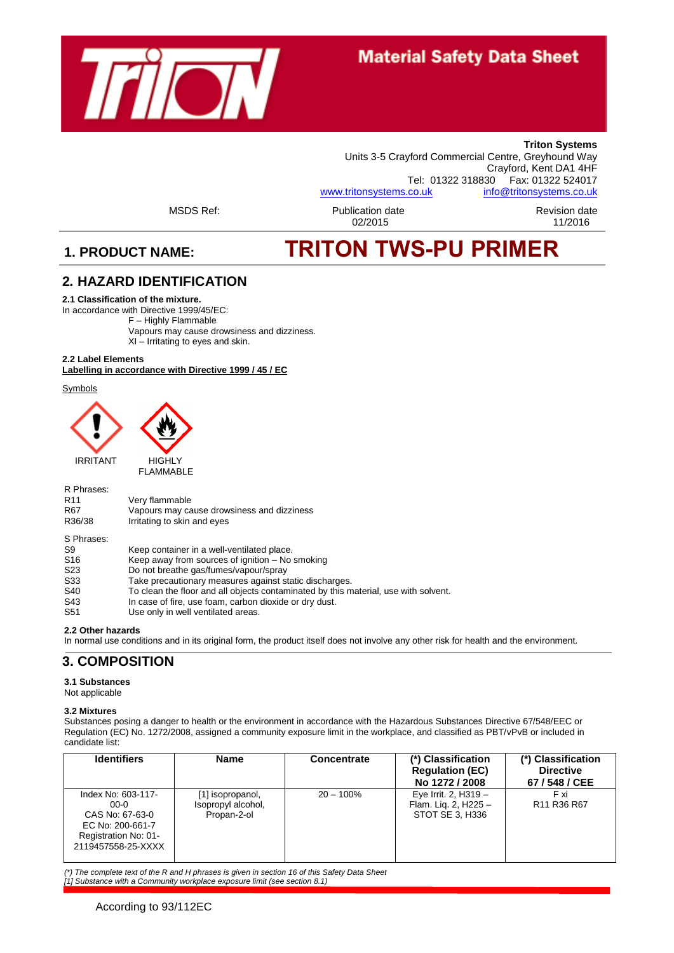

**Triton Systems** Units 3-5 Crayford Commercial Centre, Greyhound Way Crayford, Kent DA1 4HF<br>Tel: 01322 318830 Fax: 01322 524017 Fax: 01322 524017 [www.tritonsystems.co.uk](http://www.tritonsystems.co.uk/) [info@tritonsystems.co.uk](mailto:info@tritonsystems.co.uk)

MSDS Ref: Publication date Revision date

# 02/2015 11/2016

# **1. PRODUCT NAME: TRITON TWS-PU PRIMER**

#### **2***.* **HAZARD IDENTIFICATION**

#### **2.1 Classification of the mixture.**

In accordance with Directive 1999/45/EC:

F – Highly Flammable Vapours may cause drowsiness and dizziness. XI – Irritating to eyes and skin.

### **2.2 Label Elements**

#### **Labelling in accordance with Directive 1999 / 45 / EC**

Symbols



| R Phrases:<br>R <sub>11</sub> | Very flammable                                |
|-------------------------------|-----------------------------------------------|
| R67                           | Vapours may cause drowsiness and dizziness    |
| R36/38                        | Irritating to skin and eyes                   |
| S Phrases:                    |                                               |
| S9                            | Keep container in a well-ventilated place.    |
| S <sub>16</sub>               | Keep away from sources of ignition - No smoki |

| ---             |                                                      |
|-----------------|------------------------------------------------------|
| S <sub>16</sub> | Keep away from sources of ignition – No smoking      |
| S <sub>23</sub> | Do not breathe gas/fumes/vapour/spray                |
| <b>C22</b>      | Take processionary measures against static discharge |

- S33 Take precautionary measures against static discharges.<br>S40 To clean the floor and all objects contaminated by this m To clean the floor and all objects contaminated by this material, use with solvent.
- 
- S43 In case of fire, use foam, carbon dioxide or dry dust. S51 Use only in well ventilated areas.

#### **2.2 Other hazards**

In normal use conditions and in its original form, the product itself does not involve any other risk for health and the environment.

# **3. COMPOSITION**

#### **3.1 Substances**

Not applicable

#### **3.2 Mixtures**

Substances posing a danger to health or the environment in accordance with the Hazardous Substances Directive 67/548/EEC or Regulation (EC) No. 1272/2008, assigned a community exposure limit in the workplace, and classified as PBT/vPvB or included in candidate list:

| <b>Identifiers</b>                                                                                                | <b>Name</b>                                           | Concentrate  | (*) Classification<br><b>Regulation (EC)</b><br>No 1272 / 2008  | (*) Classification<br><b>Directive</b><br>67 / 548 / CEE |
|-------------------------------------------------------------------------------------------------------------------|-------------------------------------------------------|--------------|-----------------------------------------------------------------|----------------------------------------------------------|
| Index No: 603-117-<br>$00-0$<br>CAS No: 67-63-0<br>EC No: 200-661-7<br>Registration No: 01-<br>2119457558-25-XXXX | [1] isopropanol,<br>Isopropyl alcohol,<br>Propan-2-ol | $20 - 100\%$ | Eye Irrit. 2, H319 -<br>Flam. Lig. 2, H225 -<br>STOT SE 3, H336 | F xi<br>R <sub>11</sub> R <sub>36</sub> R <sub>67</sub>  |

*(\*) The complete text of the R and H phrases is given in section 16 of this Safety Data Sheet [1] Substance with a Community workplace exposure limit (see section 8.1)*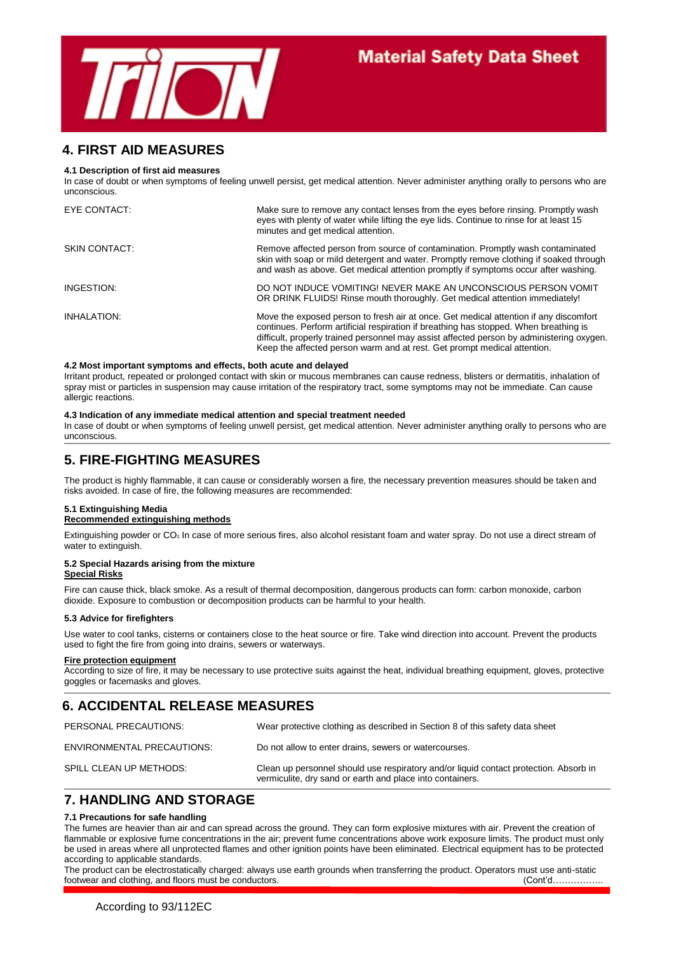

### **4. FIRST AID MEASURES**

#### **4.1 Description of first aid measures**

In case of doubt or when symptoms of feeling unwell persist, get medical attention. Never administer anything orally to persons who are unconscious.

| EYE CONTACT:  | Make sure to remove any contact lenses from the eyes before rinsing. Promptly wash<br>eyes with plenty of water while lifting the eye lids. Continue to rinse for at least 15<br>minutes and get medical attention.                                                                                                                                     |
|---------------|---------------------------------------------------------------------------------------------------------------------------------------------------------------------------------------------------------------------------------------------------------------------------------------------------------------------------------------------------------|
| SKIN CONTACT: | Remove affected person from source of contamination. Promptly wash contaminated<br>skin with soap or mild detergent and water. Promptly remove clothing if soaked through<br>and wash as above. Get medical attention promptly if symptoms occur after washing.                                                                                         |
| INGESTION:    | DO NOT INDUCE VOMITING! NEVER MAKE AN UNCONSCIOUS PERSON VOMIT<br>OR DRINK FLUIDS! Rinse mouth thoroughly. Get medical attention immediately!                                                                                                                                                                                                           |
| INHALATION:   | Move the exposed person to fresh air at once. Get medical attention if any discomfort<br>continues. Perform artificial respiration if breathing has stopped. When breathing is<br>difficult, properly trained personnel may assist affected person by administering oxygen.<br>Keep the affected person warm and at rest. Get prompt medical attention. |

#### **4.2 Most important symptoms and effects, both acute and delayed**

Irritant product, repeated or prolonged contact with skin or mucous membranes can cause redness, blisters or dermatitis, inhalation of spray mist or particles in suspension may cause irritation of the respiratory tract, some symptoms may not be immediate. Can cause allergic reactions.

#### **4.3 Indication of any immediate medical attention and special treatment needed**

In case of doubt or when symptoms of feeling unwell persist, get medical attention. Never administer anything orally to persons who are unconscious.

## **5. FIRE-FIGHTING MEASURES**

The product is highly flammable, it can cause or considerably worsen a fire, the necessary prevention measures should be taken and risks avoided. In case of fire, the following measures are recommended:

#### **5.1 Extinguishing Media**

#### **Recommended extinguishing methods**

Extinguishing powder or CO2. In case of more serious fires, also alcohol resistant foam and water spray. Do not use a direct stream of water to extinguish.

### **5.2 Special Hazards arising from the mixture**

#### **Special Risks**

Fire can cause thick, black smoke. As a result of thermal decomposition, dangerous products can form: carbon monoxide, carbon dioxide. Exposure to combustion or decomposition products can be harmful to your health.

#### **5.3 Advice for firefighters**

Use water to cool tanks, cisterns or containers close to the heat source or fire. Take wind direction into account. Prevent the products used to fight the fire from going into drains, sewers or waterways.

#### **Fire protection equipment**

According to size of fire, it may be necessary to use protective suits against the heat, individual breathing equipment, gloves, protective goggles or facemasks and gloves.

# **6. ACCIDENTAL RELEASE MEASURES**

| PERSONAL PRECAUTIONS:      | Wear protective clothing as described in Section 8 of this safety data sheet                                                                       |
|----------------------------|----------------------------------------------------------------------------------------------------------------------------------------------------|
| ENVIRONMENTAL PRECAUTIONS: | Do not allow to enter drains, sewers or watercourses.                                                                                              |
| SPILL CLEAN UP METHODS:    | Clean up personnel should use respiratory and/or liquid contact protection. Absorb in<br>vermiculite, dry sand or earth and place into containers. |

## **7. HANDLING AND STORAGE**

#### **7.1 Precautions for safe handling**

The fumes are heavier than air and can spread across the ground. They can form explosive mixtures with air. Prevent the creation of flammable or explosive fume concentrations in the air; prevent fume concentrations above work exposure limits. The product must only be used in areas where all unprotected flames and other ignition points have been eliminated. Electrical equipment has to be protected according to applicable standards.

The product can be electrostatically charged: always use earth grounds when transferring the product. Operators must use anti-static footwear and clothing, and floors must be conductors.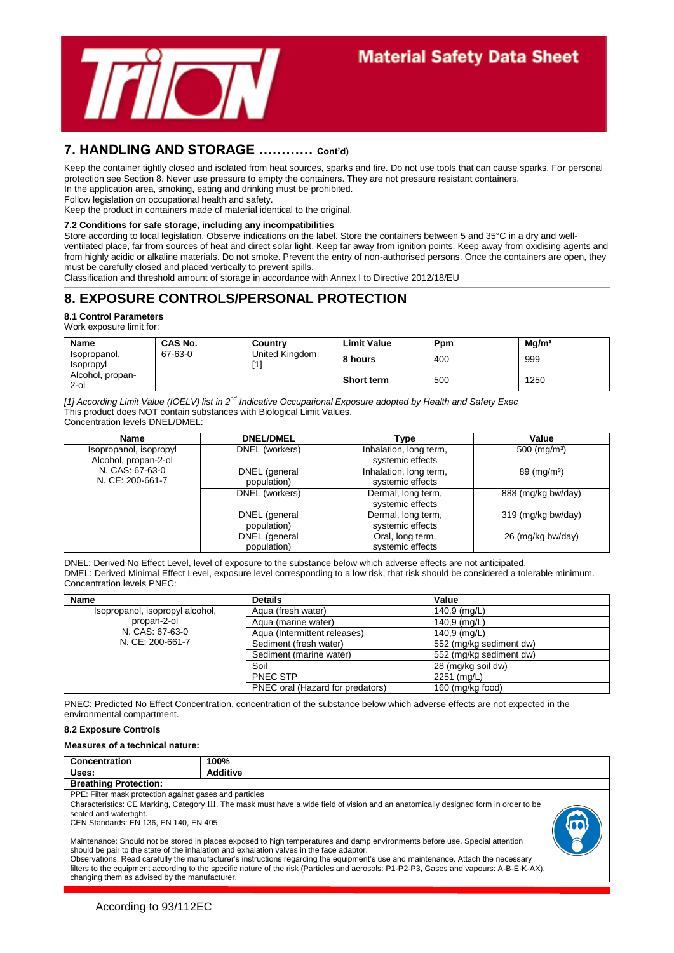

## **7. HANDLING AND STORAGE ………… Cont'd)**

Keep the container tightly closed and isolated from heat sources, sparks and fire. Do not use tools that can cause sparks. For personal protection see Section 8. Never use pressure to empty the containers. They are not pressure resistant containers.

In the application area, smoking, eating and drinking must be prohibited. Follow legislation on occupational health and safety.

Keep the product in containers made of material identical to the original.

#### **7.2 Conditions for safe storage, including any incompatibilities**

Store according to local legislation. Observe indications on the label. Store the containers between 5 and 35°C in a dry and wellventilated place, far from sources of heat and direct solar light. Keep far away from ignition points. Keep away from oxidising agents and from highly acidic or alkaline materials. Do not smoke. Prevent the entry of non-authorised persons. Once the containers are open, they must be carefully closed and placed vertically to prevent spills.

Classification and threshold amount of storage in accordance with Annex I to Directive 2012/18/EU

# **8. EXPOSURE CONTROLS/PERSONAL PROTECTION**

**8.1 Control Parameters**

Work exposure limit for:

| <b>Name</b>                      | CAS No. | Country                    | ∟imit Value       | Ppm | Mq/m <sup>3</sup> |
|----------------------------------|---------|----------------------------|-------------------|-----|-------------------|
| Isopropanol,<br><b>Isopropyl</b> | 67-63-0 | United Kingdom<br><b>M</b> | 8 hours           | 400 | 999               |
| Alcohol, propan-<br>2-ol         |         |                            | <b>Short term</b> | 500 | 1250              |

*[1] According Limit Value (IOELV) list in 2nd Indicative Occupational Exposure adopted by Health and Safety Exec* This product does NOT contain substances with Biological Limit Values. Concentration levels DNEL/DMEL:

| Name                                                                                  | <b>DNEL/DMEL</b>             | Type                                       | Value                    |
|---------------------------------------------------------------------------------------|------------------------------|--------------------------------------------|--------------------------|
| Isopropanol, isopropyl<br>Alcohol, propan-2-ol<br>N. CAS: 67-63-0<br>N. CE: 200-661-7 | DNEL (workers)               | Inhalation, long term,<br>systemic effects | 500 (mg/m <sup>3</sup> ) |
|                                                                                       | DNEL (general<br>population) | Inhalation, long term,<br>systemic effects | $89 \ (mg/m3)$           |
|                                                                                       | DNEL (workers)               | Dermal, long term,<br>systemic effects     | 888 (mg/kg bw/day)       |
|                                                                                       | DNEL (general<br>population) | Dermal, long term,<br>systemic effects     | 319 (mg/kg bw/day)       |
|                                                                                       | DNEL (general<br>population) | Oral, long term,<br>systemic effects       | 26 (mg/kg bw/day)        |

DNEL: Derived No Effect Level, level of exposure to the substance below which adverse effects are not anticipated. DMEL: Derived Minimal Effect Level, exposure level corresponding to a low risk, that risk should be considered a tolerable minimum. Concentration levels PNEC:

| Name                            | <b>Details</b>                   | Value                   |
|---------------------------------|----------------------------------|-------------------------|
| Isopropanol, isopropyl alcohol, | Agua (fresh water)               | 140,9 (mg/L)            |
| propan-2-ol                     | Agua (marine water)              | 140,9 (mg/L)            |
| N. CAS: 67-63-0                 | Aqua (Intermittent releases)     | 140,9 (mg/L)            |
| N. CE: 200-661-7                | Sediment (fresh water)           | 552 (mg/kg sediment dw) |
|                                 | Sediment (marine water)          | 552 (mg/kg sediment dw) |
|                                 | Soil                             | 28 (mg/kg soil dw)      |
|                                 | PNEC STP                         | 2251 (mg/L)             |
|                                 | PNEC oral (Hazard for predators) | 160 (mg/kg food)        |

PNEC: Predicted No Effect Concentration, concentration of the substance below which adverse effects are not expected in the environmental compartment.

#### **8.2 Exposure Controls**

#### **Measures of a technical nature:**

**Concentration** 100%<br>Uses: Addit **Uses: Additive Breathing Protection:** PPE: Filter mask protection against gases and particles Characteristics: CE Marking, Category III. The mask must have a wide field of vision and an anatomically designed form in order to be sealed and watertight. CEN Standards: EN 136, EN 140, EN 405 Maintenance: Should not be stored in places exposed to high temperatures and damp environments before use. Special attention should be pair to the state of the inhalation and exhalation valves in the face adaptor. Observations: Read carefully the manufacturer's instructions regarding the equipment's use and maintenance. Attach the necessary filters to the equipment according to the specific nature of the risk (Particles and aerosols: P1-P2-P3, Gases and vapours: A-B-E-K-AX),

changing them as advised by the manufacturer.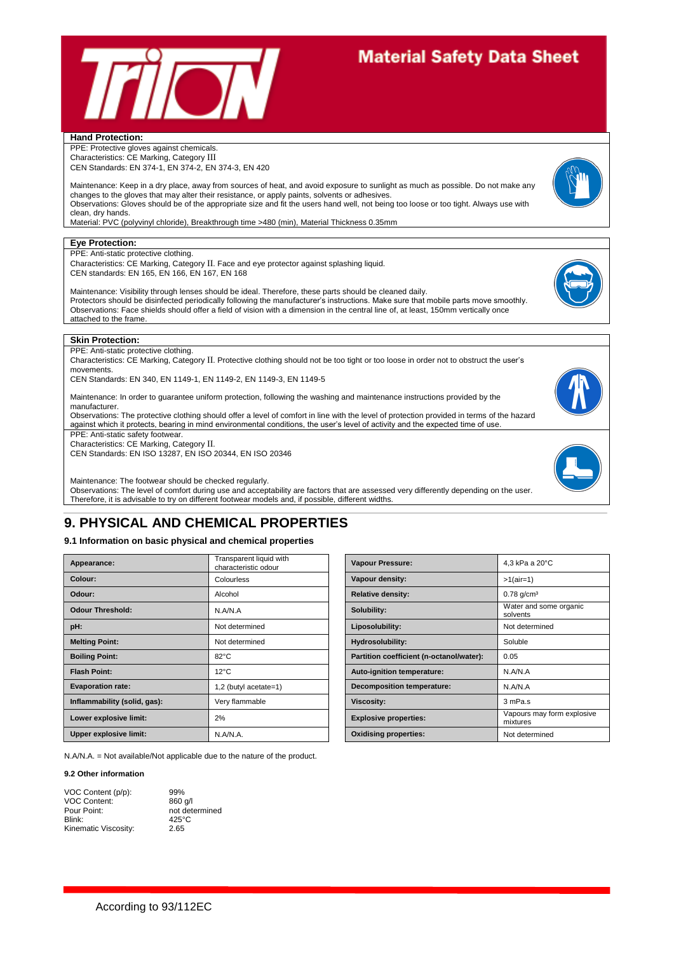

#### **Hand Protection:**

PPE: Protective gloves against chemicals. Characteristics: CE Marking, Category III CEN Standards: EN 374-1, EN 374-2, EN 374-3, EN 420

Maintenance: Keep in a dry place, away from sources of heat, and avoid exposure to sunlight as much as possible. Do not make any changes to the gloves that may alter their resistance, or apply paints, solvents or adhesives. Observations: Gloves should be of the appropriate size and fit the users hand well, not being too loose or too tight. Always use with clean, dry hands.

Material: PVC (polyvinyl chloride), Breakthrough time >480 (min), Material Thickness 0.35mm

#### **Eye Protection:**

PPE: Anti-static protective clothing.

Characteristics: CE Marking, Category II. Face and eye protector against splashing liquid. CEN standards: EN 165, EN 166, EN 167, EN 168



Maintenance: Visibility through lenses should be ideal. Therefore, these parts should be cleaned daily. Protectors should be disinfected periodically following the manufacturer's instructions. Make sure that mobile parts move smoothly. Observations: Face shields should offer a field of vision with a dimension in the central line of, at least, 150mm vertically once attached to the frame.



PPE: Anti-static protective clothing.

Characteristics: CE Marking, Category II. Protective clothing should not be too tight or too loose in order not to obstruct the user's movements.

CEN Standards: EN 340, EN 1149-1, EN 1149-2, EN 1149-3, EN 1149-5

Maintenance: In order to guarantee uniform protection, following the washing and maintenance instructions provided by the manufacturer.

Observations: The protective clothing should offer a level of comfort in line with the level of protection provided in terms of the hazard against which it protects, bearing in mind environmental conditions, the user's level of activity and the expected time of use.

PPE: Anti-static safety footwear. Characteristics: CE Marking, Category II.

CEN Standards: EN ISO 13287, EN ISO 20344, EN ISO 20346

Maintenance: The footwear should be checked regularly.

Observations: The level of comfort during use and acceptability are factors that are assessed very differently depending on the user. Therefore, it is advisable to try on different footwear models and, if possible, different widths.

# **9. PHYSICAL AND CHEMICAL PROPERTIES**

#### **9.1 Information on basic physical and chemical properties**

| Appearance:                   | Transparent liquid with<br>characteristic odour |                   | <b>Vapour Pressure:</b>                  | 4.3 kPa             |
|-------------------------------|-------------------------------------------------|-------------------|------------------------------------------|---------------------|
| Colour:                       | Colourless                                      |                   | Vapour density:                          | $>1$ (air=1         |
| Odour:                        | Alcohol                                         |                   | <b>Relative density:</b>                 | $0.78$ g/c          |
| <b>Odour Threshold:</b>       | N.A/N.A                                         | Solubility:       |                                          | Water a<br>solvents |
| pH:                           | Not determined                                  | Liposolubility:   |                                          | Not dete            |
| <b>Melting Point:</b>         | Not determined                                  |                   | Hydrosolubility:                         | Soluble             |
| <b>Boiling Point:</b>         | $82^{\circ}$ C                                  |                   | Partition coefficient (n-octanol/water): | 0.05                |
| <b>Flash Point:</b>           | $12^{\circ}$ C                                  |                   | Auto-ignition temperature:               | N.A/N.A             |
| <b>Evaporation rate:</b>      | 1,2 (butyl acetate=1)                           |                   | <b>Decomposition temperature:</b>        | N.A/N.A             |
| Inflammability (solid, gas):  | Very flammable                                  | <b>Viscosity:</b> |                                          | 3 mPa.s             |
| Lower explosive limit:        | 2%                                              |                   | <b>Explosive properties:</b>             | Vapours<br>mixtures |
| <b>Upper explosive limit:</b> | N.A/N.A.                                        |                   | <b>Oxidising properties:</b>             | Not dete            |

N.A/N.A. = Not available/Not applicable due to the nature of the product.

#### **9.2 Other information**

| VOC Content (p/p):   | 99%             |
|----------------------|-----------------|
| <b>VOC Content:</b>  | $860$ a/l       |
| Pour Point:          | not determined  |
| Blink:               | $425^{\circ}$ C |
| Kinematic Viscosity: | 2.65            |

characteristic odour **Vapour Pressure:** 4,3 kPa a 20°C **Colour density:**  $\vert$  >1(air=1) **Relative density:**  $\begin{array}{|c|c|c|c|c|c|}\n\hline\n0.78 g/cm^3\n\end{array}$ **Solubility:** Water and some organic solvents **Liposolubility:** Not determined **Partition coefficient (n-octanol/water): 0.05 Auto-ignition temperature:** N.A/N.A **Evaluation Evaluation temperature:** N.A/N.A **LowerFigurer Explosive properties:** 2009 **Explosive properties:** 2009 **Explosive** properties: mixtures **Oxidising properties:** Not determined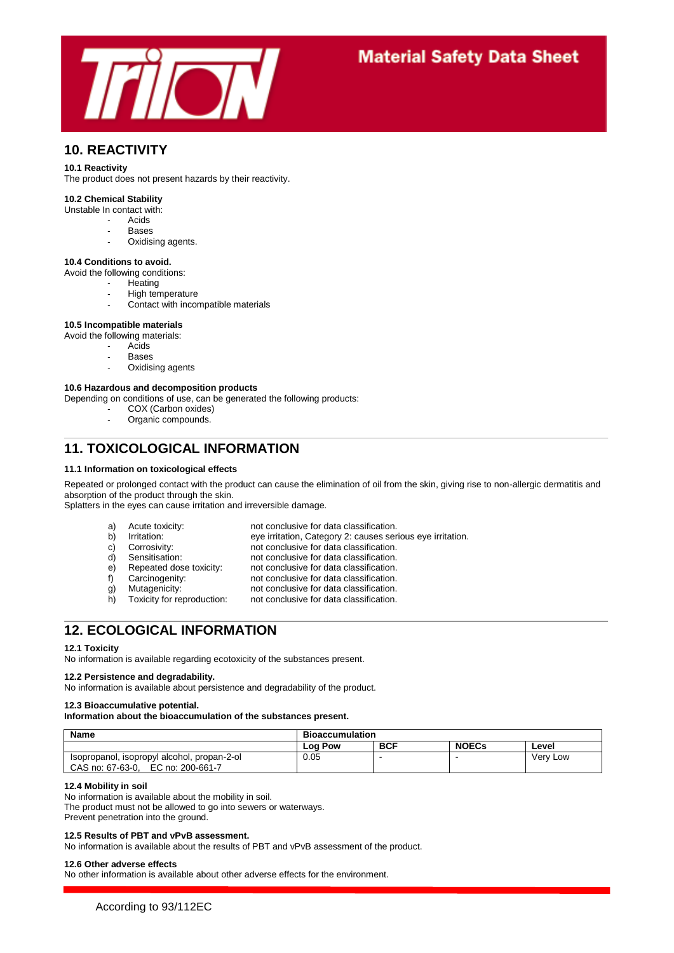

## **10. REACTIVITY**

#### **10.1 Reactivity**

The product does not present hazards by their reactivity.

#### **10.2 Chemical Stability**

- Unstable In contact with:
	- Acids
	- **Bases**
	- Oxidising agents.

#### **10.4 Conditions to avoid.**

- Avoid the following conditions:
	- **Heating**
	- High temperature
	- Contact with incompatible materials

#### **10.5 Incompatible materials**

- Avoid the following materials:
	- **Acids**
	- **Bases**
	- Oxidising agents

#### **10.6 Hazardous and decomposition products**

Depending on conditions of use, can be generated the following products:

- COX (Carbon oxides)
- Organic compounds.

### **11. TOXICOLOGICAL INFORMATION**

#### **11.1 Information on toxicological effects**

Repeated or prolonged contact with the product can cause the elimination of oil from the skin, giving rise to non-allergic dermatitis and absorption of the product through the skin.

not conclusive for data classification.

eye irritation, Category 2: causes serious eye irritation.

Splatters in the eyes can cause irritation and irreversible damage.

- a) Acute toxicity: not conclusive for data classification.<br>b) Irritation: eve irritation. Category 2: causes ser
- 
- c) Corrosivity: not conclusive for data classification.
- 
- d) Sensitisation: not conclusive for data classification.
- e) Repeated dose toxicity: not conclusive for data classification.<br>f) Carcinogenity: not conclusive for data classification.
- 
- 
- g) Mutagenicity: not conclusive for data classification.<br>
h) Toxicity for reproduction: not conclusive for data classification. h) Toxicity for reproduction: not conclusive for data classification.
- **12. ECOLOGICAL INFORMATION**

#### **12.1 Toxicity**

No information is available regarding ecotoxicity of the substances present.

#### **12.2 Persistence and degradability.**

No information is available about persistence and degradability of the product.

### **12.3 Bioaccumulative potential.**

#### **Information about the bioaccumulation of the substances present.**

| <b>Name</b>                                 | <b>Bioaccumulation</b> |            |              |          |
|---------------------------------------------|------------------------|------------|--------------|----------|
|                                             | ∟og Pow                | <b>BCF</b> | <b>NOECs</b> | Level    |
| Isopropanol, isopropyl alcohol, propan-2-ol | 0.05                   |            | -            | Very Low |
| EC no: 200-661-7<br>CAS no: 67-63-0,        |                        |            |              |          |

#### **12.4 Mobility in soil**

No information is available about the mobility in soil. The product must not be allowed to go into sewers or waterways.

Prevent penetration into the ground.

#### **12.5 Results of PBT and vPvB assessment.**

No information is available about the results of PBT and vPvB assessment of the product.

#### **12.6 Other adverse effects**

No other information is available about other adverse effects for the environment.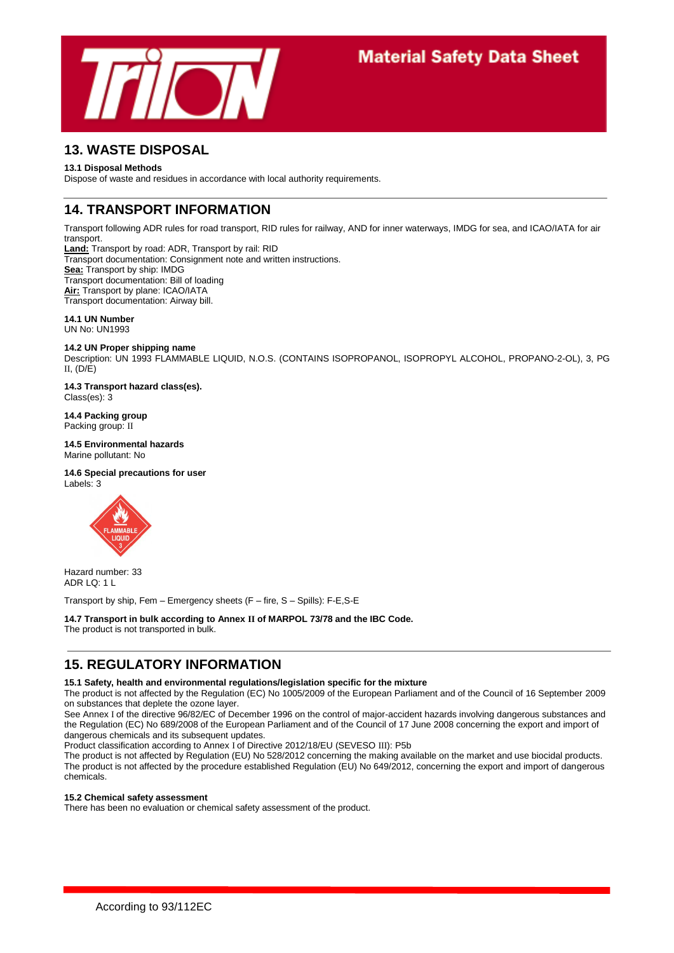

## **13. WASTE DISPOSAL**

#### **13.1 Disposal Methods**

Dispose of waste and residues in accordance with local authority requirements.

## **14. TRANSPORT INFORMATION**

Transport following ADR rules for road transport, RID rules for railway, AND for inner waterways, IMDG for sea, and ICAO/IATA for air transport.

**Land:** Transport by road: ADR, Transport by rail: RID Transport documentation: Consignment note and written instructions. **Sea:** Transport by ship: IMDG Transport documentation: Bill of loading **Air:** Transport by plane: ICAO/IATA Transport documentation: Airway bill.

**14.1 UN Number** UN No: UN1993

#### **14.2 UN Proper shipping name**

Description: UN 1993 FLAMMABLE LIQUID, N.O.S. (CONTAINS ISOPROPANOL, ISOPROPYL ALCOHOL, PROPANO-2-OL), 3, PG II,  $(D/E)$ 

**14.3 Transport hazard class(es).** Class(es): 3

**14.4 Packing group** Packing group: II

**14.5 Environmental hazards** Marine pollutant: No

#### **14.6 Special precautions for user**

Labels: 3



Hazard number: 33  $ADR$   $1$   $O: 11$ 

Transport by ship, Fem – Emergency sheets (F – fire, S – Spills): F-E,S-E

#### **14.7 Transport in bulk according to Annex II of MARPOL 73/78 and the IBC Code.**

The product is not transported in bulk.

# **15. REGULATORY INFORMATION**

#### **15.1 Safety, health and environmental regulations/legislation specific for the mixture**

The product is not affected by the Regulation (EC) No 1005/2009 of the European Parliament and of the Council of 16 September 2009 on substances that deplete the ozone layer.

See Annex I of the directive 96/82/EC of December 1996 on the control of major-accident hazards involving dangerous substances and the Regulation (EC) No 689/2008 of the European Parliament and of the Council of 17 June 2008 concerning the export and import of dangerous chemicals and its subsequent updates.

Product classification according to Annex I of Directive 2012/18/EU (SEVESO III): P5b

The product is not affected by Regulation (EU) No 528/2012 concerning the making available on the market and use biocidal products. The product is not affected by the procedure established Regulation (EU) No 649/2012, concerning the export and import of dangerous chemicals.

#### **15.2 Chemical safety assessment**

There has been no evaluation or chemical safety assessment of the product.